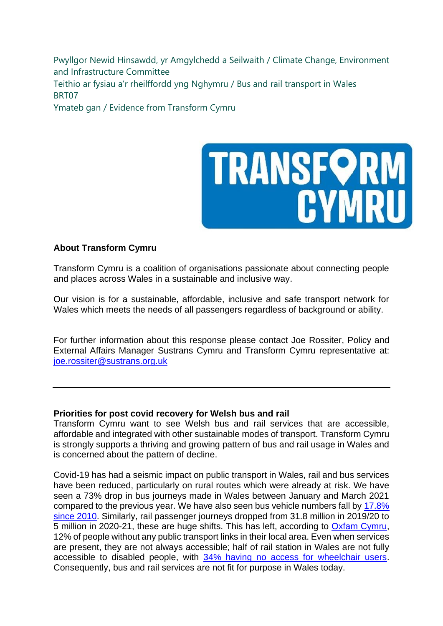Pwyllgor Newid Hinsawdd, yr Amgylchedd a Seilwaith / Climate Change, Environment and Infrastructure Committee Teithio ar fysiau a'r rheilffordd yng Nghymru / Bus and rail transport in Wales BRT07

Ymateb gan / Evidence from Transform Cymru



## **About Transform Cymru**

Transform Cymru is a coalition of organisations passionate about connecting people and places across Wales in a sustainable and inclusive way.

Our vision is for a sustainable, affordable, inclusive and safe transport network for Wales which meets the needs of all passengers regardless of background or ability.

For further information about this response please contact Joe Rossiter, Policy and External Affairs Manager Sustrans Cymru and Transform Cymru representative at: [joe.rossiter@sustrans.org.uk](mailto:joe.rossiter@sustrans.org.uk)

## **Priorities for post covid recovery for Welsh bus and rail**

Transform Cymru want to see Welsh bus and rail services that are accessible, affordable and integrated with other sustainable modes of transport. Transform Cymru is strongly supports a thriving and growing pattern of bus and rail usage in Wales and is concerned about the pattern of decline.

Covid-19 has had a seismic impact on public transport in Wales, rail and bus services have been reduced, particularly on rural routes which were already at risk. We have seen a 73% drop in bus journeys made in Wales between January and March 2021 compared to the previous year. We have also seen bus vehicle numbers fall by [17.8%](https://gov.wales/public-service-vehicles-buses-and-taxis-april-2019-march-2020-html)  [since 2010.](https://gov.wales/public-service-vehicles-buses-and-taxis-april-2019-march-2020-html) Similarly, rail passenger journeys dropped from 31.8 million in 2019/20 to 5 million in 2020-21, these are huge shifts. This has left, according to [Oxfam Cymru,](https://oxfamilibrary.openrepository.com/bitstream/handle/10546/620979/rr-welsh-doughnut-2020-sustainability-social-justice-010320-en.pdf;jsessionid=3F5197E197215727F0A4FEE1AAB282FB?sequence=1) 12% of people without any public transport links in their local area. Even when services are present, they are not always accessible; half of rail station in Wales are not fully accessible to disabled people, with [34% having no access for wheelchair users.](https://www.equalityhumanrights.com/sites/default/files/accessible-publictransport-) Consequently, bus and rail services are not fit for purpose in Wales today.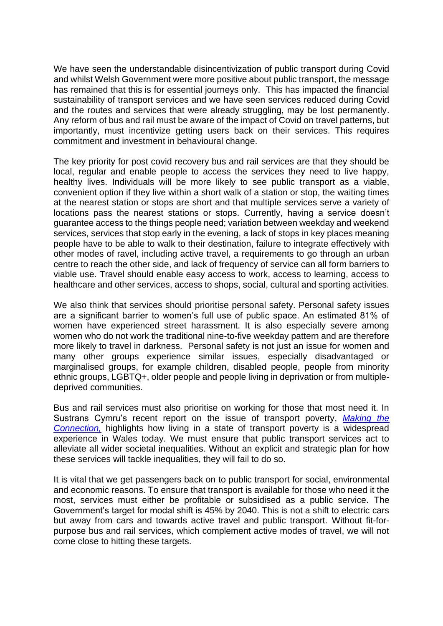We have seen the understandable disincentivization of public transport during Covid and whilst Welsh Government were more positive about public transport, the message has remained that this is for essential journeys only. This has impacted the financial sustainability of transport services and we have seen services reduced during Covid and the routes and services that were already struggling, may be lost permanently. Any reform of bus and rail must be aware of the impact of Covid on travel patterns, but importantly, must incentivize getting users back on their services. This requires commitment and investment in behavioural change.

The key priority for post covid recovery bus and rail services are that they should be local, regular and enable people to access the services they need to live happy, healthy lives. Individuals will be more likely to see public transport as a viable, convenient option if they live within a short walk of a station or stop, the waiting times at the nearest station or stops are short and that multiple services serve a variety of locations pass the nearest stations or stops. Currently, having a service doesn't guarantee access to the things people need; variation between weekday and weekend services, services that stop early in the evening, a lack of stops in key places meaning people have to be able to walk to their destination, failure to integrate effectively with other modes of ravel, including active travel, a requirements to go through an urban centre to reach the other side, and lack of frequency of service can all form barriers to viable use. Travel should enable easy access to work, access to learning, access to healthcare and other services, access to shops, social, cultural and sporting activities.

We also think that services should prioritise personal safety. Personal safety issues are a significant barrier to women's full use of public space. An estimated 81% of women have experienced street harassment. It is also especially severe among women who do not work the traditional nine-to-five weekday pattern and are therefore more likely to travel in darkness. Personal safety is not just an issue for women and many other groups experience similar issues, especially disadvantaged or marginalised groups, for example children, disabled people, people from minority ethnic groups, LGBTQ+, older people and people living in deprivation or from multipledeprived communities.

Bus and rail services must also prioritise on working for those that most need it. In Sustrans Cymru's recent report on the issue of transport poverty, *[Making the](https://www.sustrans.org.uk/our-blog/news/2022/may/people-in-wales-facing-transport-poverty-reality-says-sustrans-report/)  [Connection,](https://www.sustrans.org.uk/our-blog/news/2022/may/people-in-wales-facing-transport-poverty-reality-says-sustrans-report/)* highlights how living in a state of transport poverty is a widespread experience in Wales today. We must ensure that public transport services act to alleviate all wider societal inequalities. Without an explicit and strategic plan for how these services will tackle inequalities, they will fail to do so.

It is vital that we get passengers back on to public transport for social, environmental and economic reasons. To ensure that transport is available for those who need it the most, services must either be profitable or subsidised as a public service. The Government's target for modal shift is 45% by 2040. This is not a shift to electric cars but away from cars and towards active travel and public transport. Without fit-forpurpose bus and rail services, which complement active modes of travel, we will not come close to hitting these targets.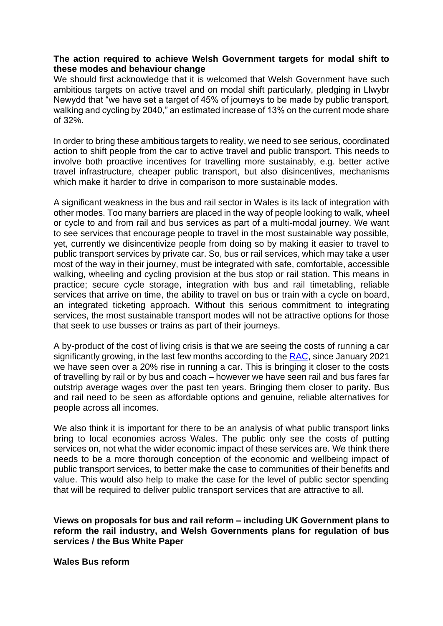## **The action required to achieve Welsh Government targets for modal shift to these modes and behaviour change**

We should first acknowledge that it is welcomed that Welsh Government have such ambitious targets on active travel and on modal shift particularly, pledging in Llwybr Newydd that "we have set a target of 45% of journeys to be made by public transport, walking and cycling by 2040," an estimated increase of 13% on the current mode share of 32%.

In order to bring these ambitious targets to reality, we need to see serious, coordinated action to shift people from the car to active travel and public transport. This needs to involve both proactive incentives for travelling more sustainably, e.g. better active travel infrastructure, cheaper public transport, but also disincentives, mechanisms which make it harder to drive in comparison to more sustainable modes.

A significant weakness in the bus and rail sector in Wales is its lack of integration with other modes. Too many barriers are placed in the way of people looking to walk, wheel or cycle to and from rail and bus services as part of a multi-modal journey. We want to see services that encourage people to travel in the most sustainable way possible, yet, currently we disincentivize people from doing so by making it easier to travel to public transport services by private car. So, bus or rail services, which may take a user most of the way in their journey, must be integrated with safe, comfortable, accessible walking, wheeling and cycling provision at the bus stop or rail station. This means in practice; secure cycle storage, integration with bus and rail timetabling, reliable services that arrive on time, the ability to travel on bus or train with a cycle on board, an integrated ticketing approach. Without this serious commitment to integrating services, the most sustainable transport modes will not be attractive options for those that seek to use busses or trains as part of their journeys.

A by-product of the cost of living crisis is that we are seeing the costs of running a car significantly growing, in the last few months according to the [RAC,](https://www.racfoundation.org/data/cost-of-transport-index) since January 2021 we have seen over a 20% rise in running a car. This is bringing it closer to the costs of travelling by rail or by bus and coach – however we have seen rail and bus fares far outstrip average wages over the past ten years. Bringing them closer to parity. Bus and rail need to be seen as affordable options and genuine, reliable alternatives for people across all incomes.

We also think it is important for there to be an analysis of what public transport links bring to local economies across Wales. The public only see the costs of putting services on, not what the wider economic impact of these services are. We think there needs to be a more thorough conception of the economic and wellbeing impact of public transport services, to better make the case to communities of their benefits and value. This would also help to make the case for the level of public sector spending that will be required to deliver public transport services that are attractive to all.

**Views on proposals for bus and rail reform – including UK Government plans to reform the rail industry, and Welsh Governments plans for regulation of bus services / the Bus White Paper**

**Wales Bus reform**